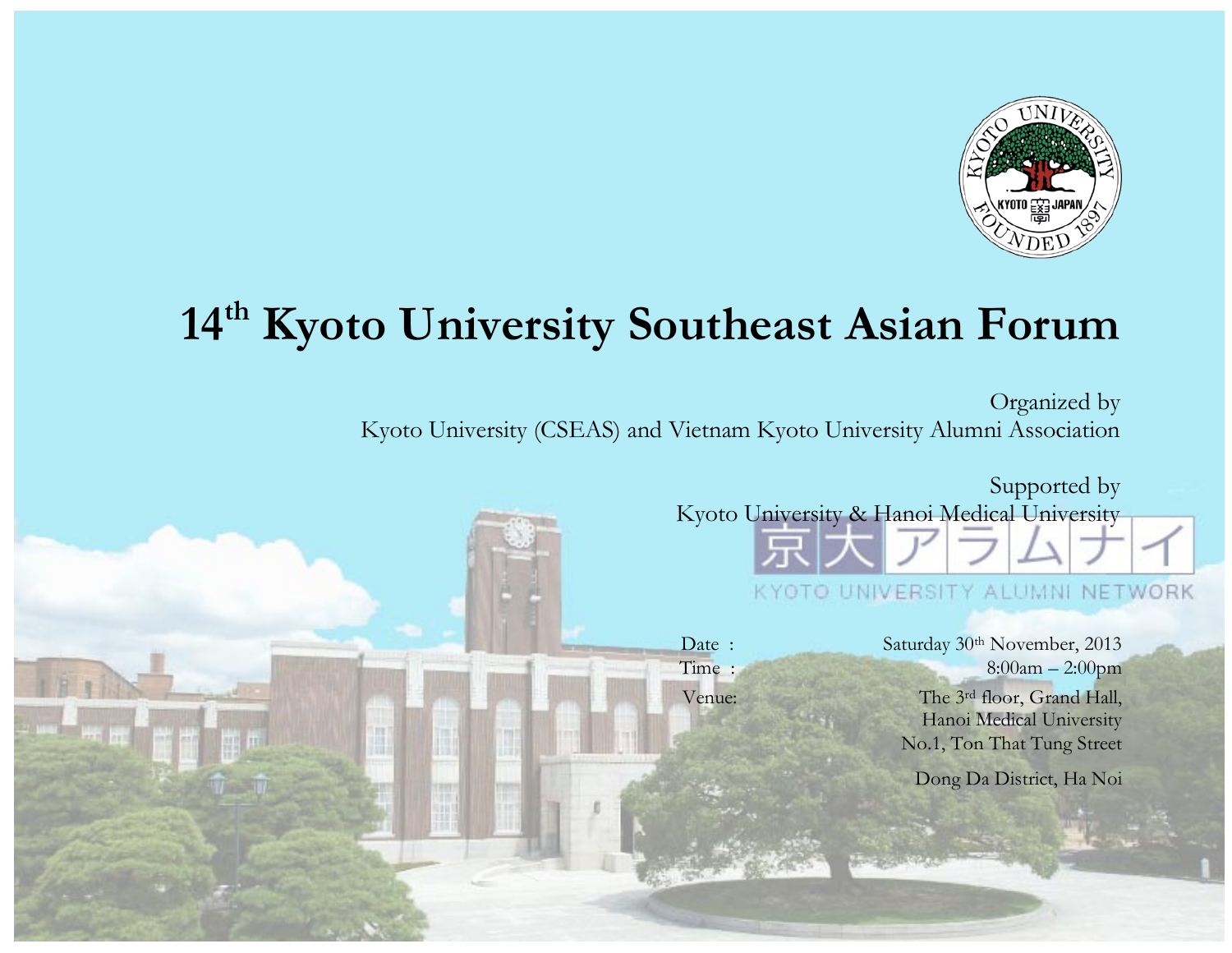

# **14th Kyoto University Southeast Asian Forum**

Organized by Kyoto University (CSEAS) and Vietnam Kyoto University Alumni Association

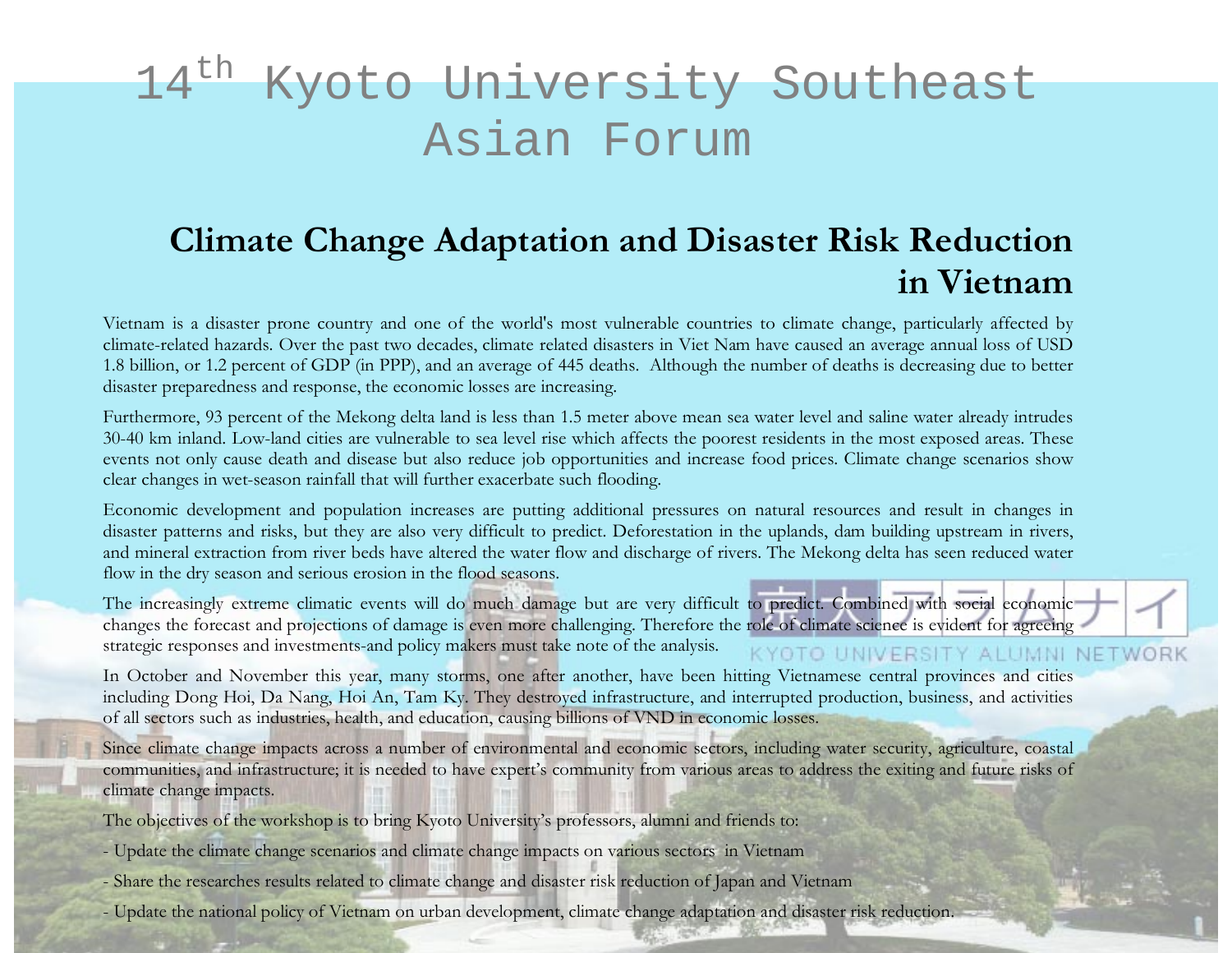# 14<sup>th</sup> Kyoto University Southeast Asian Forum

### **Climate Change Adaptation and Disaster Risk Reduction in Vietnam**

Vietnam is a disaster prone country and one of the world's most vulnerable countries to climate change, particularly affected by climate-related hazards. Over the past two decades, climate related disasters in Viet Nam have caused an average annual loss of USD 1.8 billion, or 1.2 percent of GDP (in PPP), and an average of 445 deaths. Although the number of deaths is decreasing due to better disaster preparedness and response, the economic losses are increasing.

Furthermore, 93 percent of the Mekong delta land is less than 1.5 meter above mean sea water level and saline water already intrudes 30-40 km inland. Low-land cities are vulnerable to sea level rise which affects the poorest residents in the most exposed areas. These events not only cause death and disease but also reduce job opportunities and increase food prices. Climate change scenarios show clear changes in wet-season rainfall that will further exacerbate such flooding.

Economic development and population increases are putting additional pressures on natural resources and result in changes in disaster patterns and risks, but they are also very difficult to predict. Deforestation in the uplands, dam building upstream in rivers, and mineral extraction from river beds have altered the water flow and discharge of rivers. The Mekong delta has seen reduced water flow in the dry season and serious erosion in the flood seasons.

The increasingly extreme climatic events will do much damage but are very difficult to predict. Combined with social economic changes the forecast and projections of damage is even more challenging. Therefore the role of climate science is evident for agreeing strategic responses and investments-and policy makers must take note of the analysis. **(YOTO UNIVERSITY ALUMNI NETWOR** 

In October and November this year, many storms, one after another, have been hitting Vietnamese central provinces and cities including Dong Hoi, Da Nang, Hoi An, Tam Ky. They destroyed infrastructure, and interrupted production, business, and activities of all sectors such as industries, health, and education, causing billions of VND in economic losses.

Since climate change impacts across a number of environmental and economic sectors, including water security, agriculture, coastal communities, and infrastructure; it is needed to have expert's community from various areas to address the exiting and future risks of climate change impacts.

The objectives of the workshop is to bring Kyoto University's professors, alumni and friends to:

- Update the climate change scenarios and climate change impacts on various sectors in Vietnam
- Share the researches results related to climate change and disaster risk reduction of Japan and Vietnam
- Update the national policy of Vietnam on urban development, climate change adaptation and disaster risk reduction.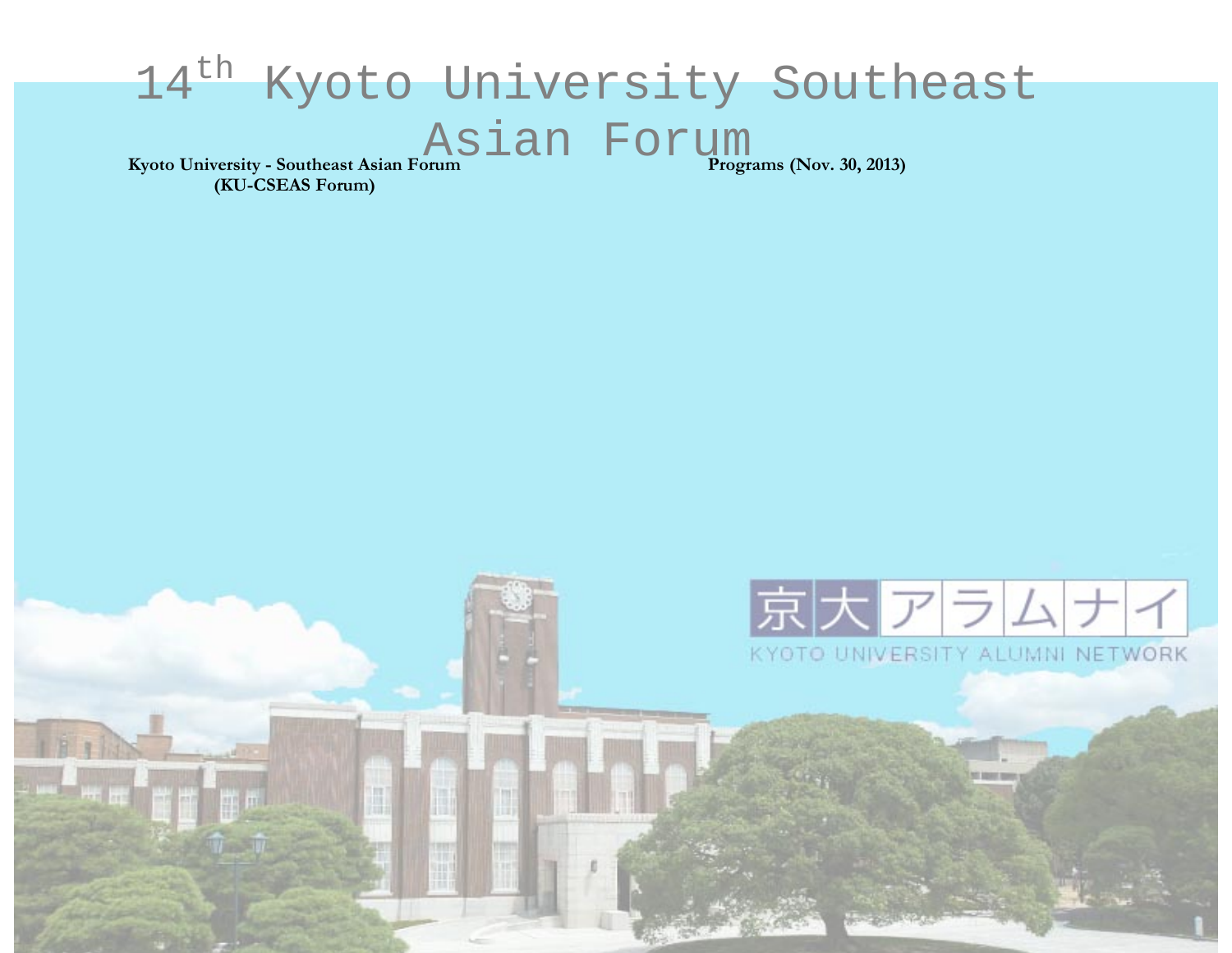#### 14<sup>th</sup> Kyoto University Southeast Asian Forum **Programs (Nov. 30, 2013)Kyoto University - Southeast Asian Forum (KU-CSEAS Forum)**